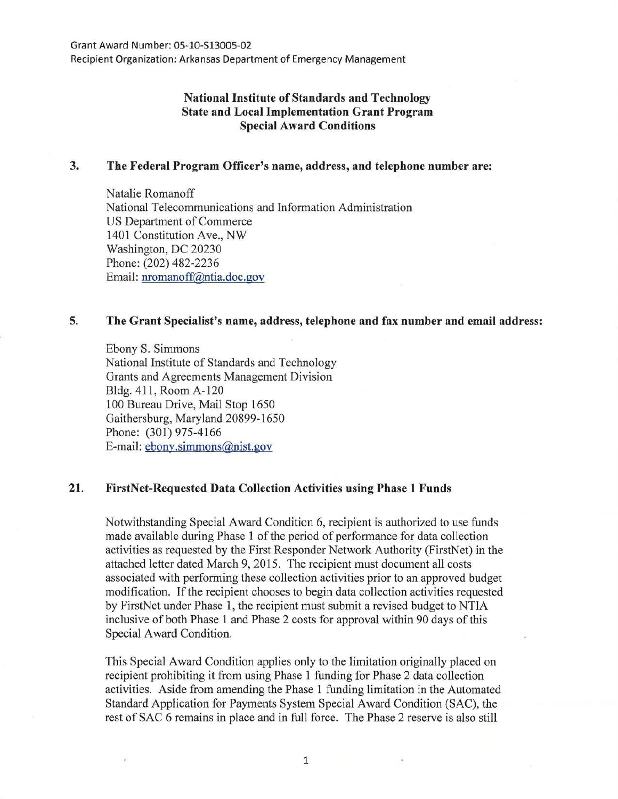Recipient Organization: Arkansas Department of Emergency Management

# **National Institute of Standards and Technology State and Local Implementation Grant Program Special Award Conditions**

### **3. The Federal Program Officer's name, address, and telephone number are:**

Natalie Romanoff National Telecommunications and Information Administration US Department of Commerce 1401 Constitution Ave., NW Washington, DC 20230 Phone: (202) 482-2236 Email: nromanoff@ntia.doc.gov

### **5. The Grant Specialist's name, address, telephone and fax number and email address:**

Ebony S. Simmons National Institute of Standards and Technology Grants and Agreements Management Division Bldg. 411, Room A-120 100 Bureau Drive, Mail Stop 1650 Gaithersburg, Maryland 20899-1650 Phone: (301) 975-4166 E-mail: ebony.simmons@nist.gov

## **21. FirstNet-Requested Data Collection Activities using Phase 1 Funds**

Notwithstanding Special Award Condition 6, recipient is authorized to use funds made available during Phase 1 of the period of performance for data collection activities as requested by the First Responder Network Authority (FirstNet) in the attached letter dated March 9, 2015. The recipient must document all costs associated with performing these collection activities prior to an approved budget modification. If the recipient chooses to begin data collection activities requested by FirstNet under Phase 1, the recipient must submit a revised budget to NTIA inclusive of both Phase 1 and Phase 2 costs for approval within 90 days of this Special Award Condition.

This Special Award Condition applies only to the limitation originally placed on recipient prohibiting it from using Phase 1 funding for Phase 2 data collection activities. Aside from amending the Phase 1 funding limitation in the Automated Standard Application for Payments System Special Award Condition (SAC), the rest of SAC 6 remains in place and in full force. The Phase 2 reserve is also still

1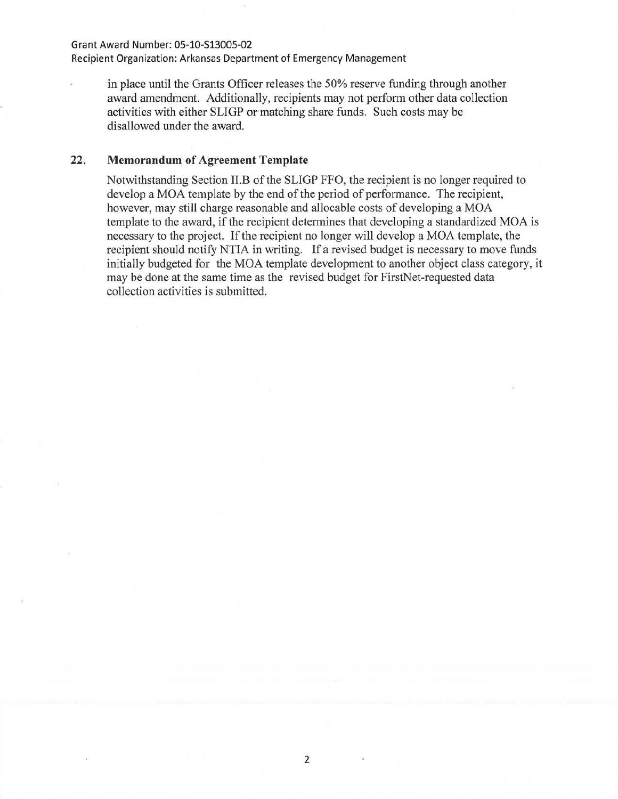#### Grant Award Number: 05-10-513005-02

Recipient Organization: Arkansas Department of Emergency Management

in place until the Grants Officer releases the 50% reserve funding through another award amendment. Additionally, recipients may not perform other data collection activities with either SLIGP or matching share funds. Such costs may be disallowed under the award.

## **22.** Memorandum of Agreement Template

Notwithstanding Section II.B of the SLIGP FFO, the recipient is no longer required to develop a MOA template by the end of the period of performance. The recipient, however, may still charge reasonable and allocable costs of developing a MOA template to the award, if the recipient determines that developing a standardized MOA is necessary to the project. If the recipient no longer will develop a MOA template, the recipient should notify NTIA in writing. If a revised budget is necessary to move funds initially budgeted for the MOA template development to another object class category, it may be done at the same time as the revised budget for FirstNet-requested data collection activities is submitted.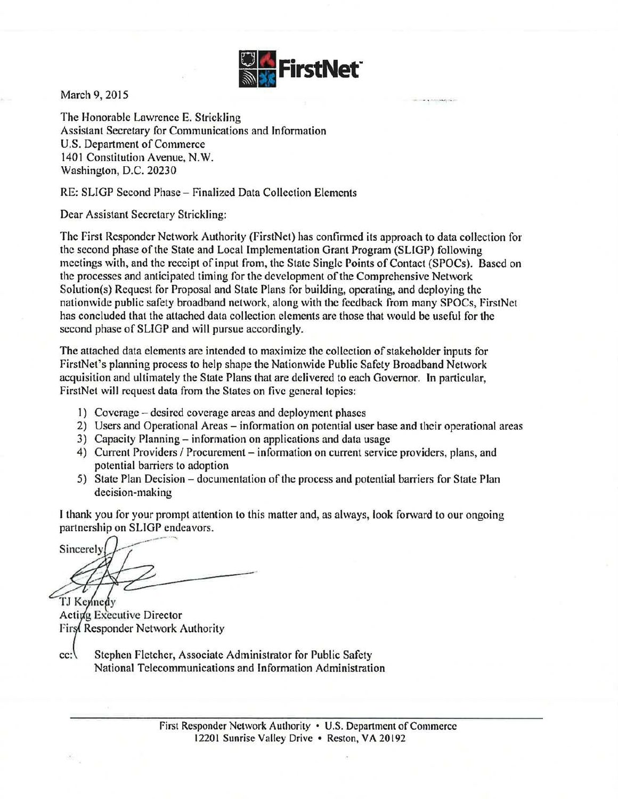

-. -~--·, -

March 9, 2015

The Honorable Lawrence E. Strickling Assistant Secretary for Communications and Information U.S. Department of Commerce 1401 Constitution Avenue, N.W. Washington, D.C. 20230

## RE: SLIGP Second Phase- Finalized Data Collection Elements

Dear Assistant Secretary Strickling:

The First Responder Network Authority (FirstNet) has confirmed its approach to data collection for the second phase of the State and Local Implementation Grant Program (SLIGP) following meetings with, and the receipt of input from, the State Single Points of Contact (SPOCs). Based on the processes and anticipated timing for the development of the Comprehensive Network Solution(s) Request for Proposal and State Plans for building, operating, and deploying the nationwide public safety broadband network, along with the feedback from many SPOCs, FirstNet has concluded that the attached data collection elements arc those that would be useful for the second phase of SLIGP and will pursue accordingly.

The attached data elements are intended to maximize the collection of stakeholder inputs for FirstNet's planning process to help shape the Nationwide Public Safety Broadband Network acquisition and ultimately the State Plans that are delivered to each Governor. In particular, FirstNet will request data from the States on five general topics:

- 1) Coverage- desired coverage areas and deployment phases
- 2) Users and Operational Areas- information on potential user base and their operational areas
- 3) Capacity Planning- information on applications and data usage
- 4) Current Providers / Procurement information on current service providers, plans, and potential barriers to adoption
- 5) State Plan Decision documentation of the process and potential barriers for State Plan decision-making

I thank you for your prompt attention to this matter and, as always, look forward to our ongoing partnership on SLIGP endeavors.

Sincerely

TJ Kennedy Acting Executive Director First Responder Network Authority

Stephen Fletcher, Associate Administrator for Public Safety  $cc:$ National Telecommunications and Information Administration